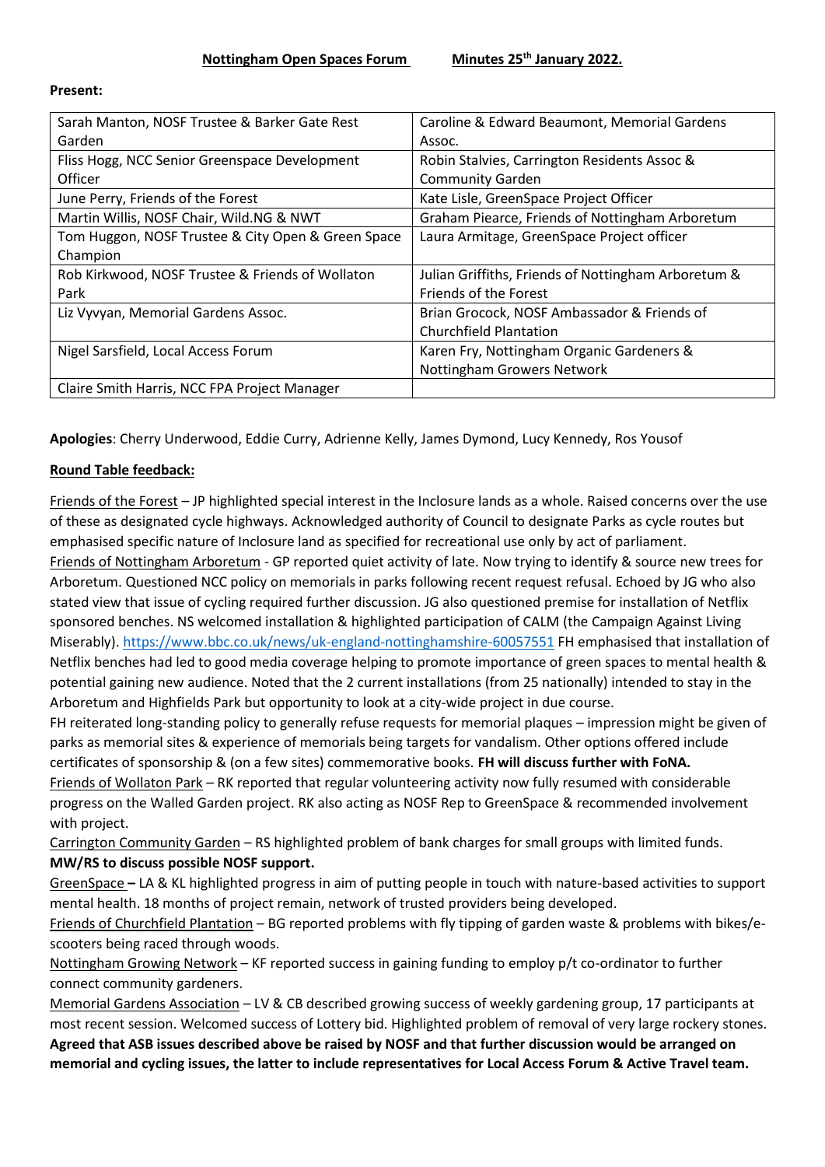| Caroline & Edward Beaumont, Memorial Gardens        |
|-----------------------------------------------------|
| Assoc.                                              |
| Robin Stalvies, Carrington Residents Assoc &        |
| <b>Community Garden</b>                             |
| Kate Lisle, GreenSpace Project Officer              |
| Graham Piearce, Friends of Nottingham Arboretum     |
| Laura Armitage, GreenSpace Project officer          |
|                                                     |
| Julian Griffiths, Friends of Nottingham Arboretum & |
| Friends of the Forest                               |
| Brian Grocock, NOSF Ambassador & Friends of         |
| <b>Churchfield Plantation</b>                       |
| Karen Fry, Nottingham Organic Gardeners &           |
| Nottingham Growers Network                          |
|                                                     |
|                                                     |

#### **Present:**

**Apologies**: Cherry Underwood, Eddie Curry, Adrienne Kelly, James Dymond, Lucy Kennedy, Ros Yousof

#### **Round Table feedback:**

Friends of the Forest – JP highlighted special interest in the Inclosure lands as a whole. Raised concerns over the use of these as designated cycle highways. Acknowledged authority of Council to designate Parks as cycle routes but emphasised specific nature of Inclosure land as specified for recreational use only by act of parliament. Friends of Nottingham Arboretum - GP reported quiet activity of late. Now trying to identify & source new trees for Arboretum. Questioned NCC policy on memorials in parks following recent request refusal. Echoed by JG who also stated view that issue of cycling required further discussion. JG also questioned premise for installation of Netflix sponsored benches. NS welcomed installation & highlighted participation of CALM (the Campaign Against Living Miserably)[. https://www.bbc.co.uk/news/uk-england-nottinghamshire-60057551](https://www.bbc.co.uk/news/uk-england-nottinghamshire-60057551) FH emphasised that installation of Netflix benches had led to good media coverage helping to promote importance of green spaces to mental health & potential gaining new audience. Noted that the 2 current installations (from 25 nationally) intended to stay in the Arboretum and Highfields Park but opportunity to look at a city-wide project in due course.

FH reiterated long-standing policy to generally refuse requests for memorial plaques – impression might be given of parks as memorial sites & experience of memorials being targets for vandalism. Other options offered include certificates of sponsorship & (on a few sites) commemorative books. **FH will discuss further with FoNA.** Friends of Wollaton Park – RK reported that regular volunteering activity now fully resumed with considerable progress on the Walled Garden project. RK also acting as NOSF Rep to GreenSpace & recommended involvement with project.

Carrington Community Garden – RS highlighted problem of bank charges for small groups with limited funds. **MW/RS to discuss possible NOSF support.**

GreenSpace **–** LA & KL highlighted progress in aim of putting people in touch with nature-based activities to support mental health. 18 months of project remain, network of trusted providers being developed.

Friends of Churchfield Plantation – BG reported problems with fly tipping of garden waste & problems with bikes/escooters being raced through woods.

Nottingham Growing Network – KF reported success in gaining funding to employ p/t co-ordinator to further connect community gardeners.

Memorial Gardens Association – LV & CB described growing success of weekly gardening group, 17 participants at most recent session. Welcomed success of Lottery bid. Highlighted problem of removal of very large rockery stones. **Agreed that ASB issues described above be raised by NOSF and that further discussion would be arranged on memorial and cycling issues, the latter to include representatives for Local Access Forum & Active Travel team.**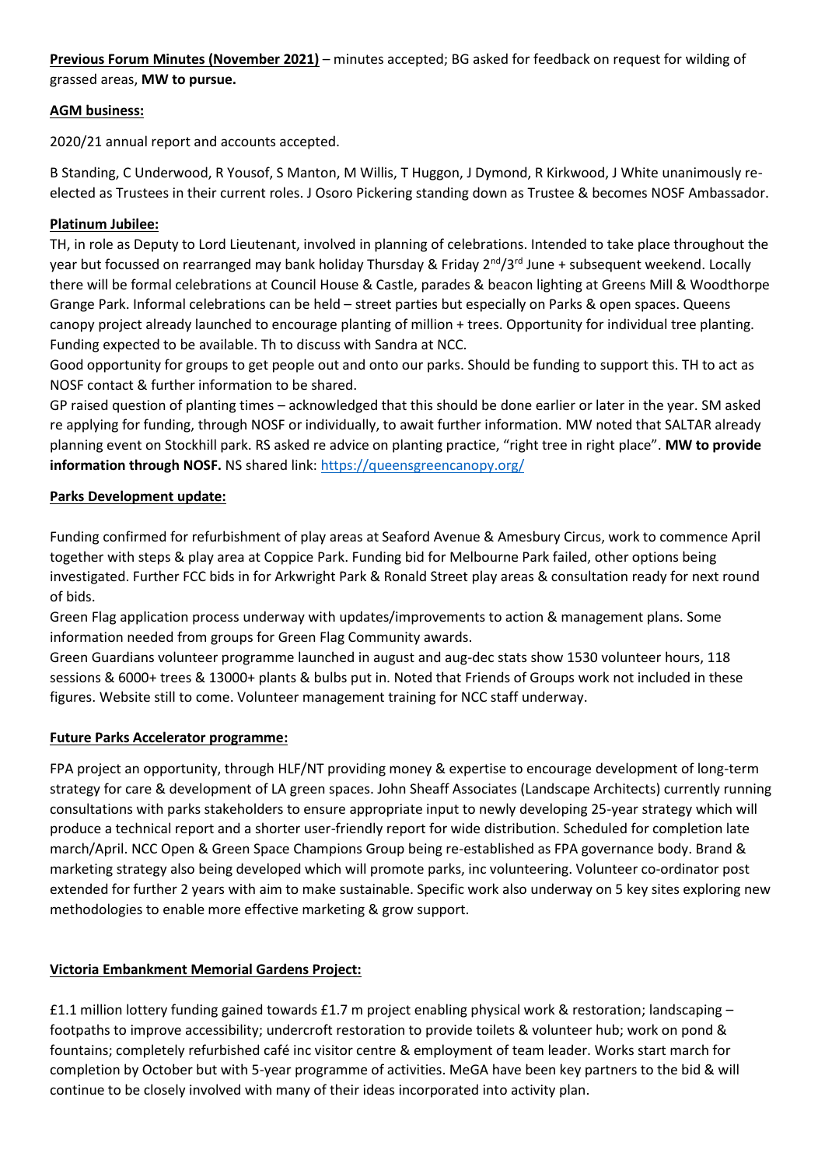**Previous Forum Minutes (November 2021)** – minutes accepted; BG asked for feedback on request for wilding of grassed areas, **MW to pursue.**

### **AGM business:**

2020/21 annual report and accounts accepted.

B Standing, C Underwood, R Yousof, S Manton, M Willis, T Huggon, J Dymond, R Kirkwood, J White unanimously reelected as Trustees in their current roles. J Osoro Pickering standing down as Trustee & becomes NOSF Ambassador.

### **Platinum Jubilee:**

TH, in role as Deputy to Lord Lieutenant, involved in planning of celebrations. Intended to take place throughout the year but focussed on rearranged may bank holiday Thursday & Friday 2<sup>nd</sup>/3<sup>rd</sup> June + subsequent weekend. Locally there will be formal celebrations at Council House & Castle, parades & beacon lighting at Greens Mill & Woodthorpe Grange Park. Informal celebrations can be held – street parties but especially on Parks & open spaces. Queens canopy project already launched to encourage planting of million + trees. Opportunity for individual tree planting. Funding expected to be available. Th to discuss with Sandra at NCC.

Good opportunity for groups to get people out and onto our parks. Should be funding to support this. TH to act as NOSF contact & further information to be shared.

GP raised question of planting times – acknowledged that this should be done earlier or later in the year. SM asked re applying for funding, through NOSF or individually, to await further information. MW noted that SALTAR already planning event on Stockhill park. RS asked re advice on planting practice, "right tree in right place". **MW to provide information through NOSF.** NS shared link:<https://queensgreencanopy.org/>

#### **Parks Development update:**

Funding confirmed for refurbishment of play areas at Seaford Avenue & Amesbury Circus, work to commence April together with steps & play area at Coppice Park. Funding bid for Melbourne Park failed, other options being investigated. Further FCC bids in for Arkwright Park & Ronald Street play areas & consultation ready for next round of bids.

Green Flag application process underway with updates/improvements to action & management plans. Some information needed from groups for Green Flag Community awards.

Green Guardians volunteer programme launched in august and aug-dec stats show 1530 volunteer hours, 118 sessions & 6000+ trees & 13000+ plants & bulbs put in. Noted that Friends of Groups work not included in these figures. Website still to come. Volunteer management training for NCC staff underway.

# **Future Parks Accelerator programme:**

FPA project an opportunity, through HLF/NT providing money & expertise to encourage development of long-term strategy for care & development of LA green spaces. John Sheaff Associates (Landscape Architects) currently running consultations with parks stakeholders to ensure appropriate input to newly developing 25-year strategy which will produce a technical report and a shorter user-friendly report for wide distribution. Scheduled for completion late march/April. NCC Open & Green Space Champions Group being re-established as FPA governance body. Brand & marketing strategy also being developed which will promote parks, inc volunteering. Volunteer co-ordinator post extended for further 2 years with aim to make sustainable. Specific work also underway on 5 key sites exploring new methodologies to enable more effective marketing & grow support.

# **Victoria Embankment Memorial Gardens Project:**

£1.1 million lottery funding gained towards £1.7 m project enabling physical work & restoration; landscaping  $$ footpaths to improve accessibility; undercroft restoration to provide toilets & volunteer hub; work on pond & fountains; completely refurbished café inc visitor centre & employment of team leader. Works start march for completion by October but with 5-year programme of activities. MeGA have been key partners to the bid & will continue to be closely involved with many of their ideas incorporated into activity plan.